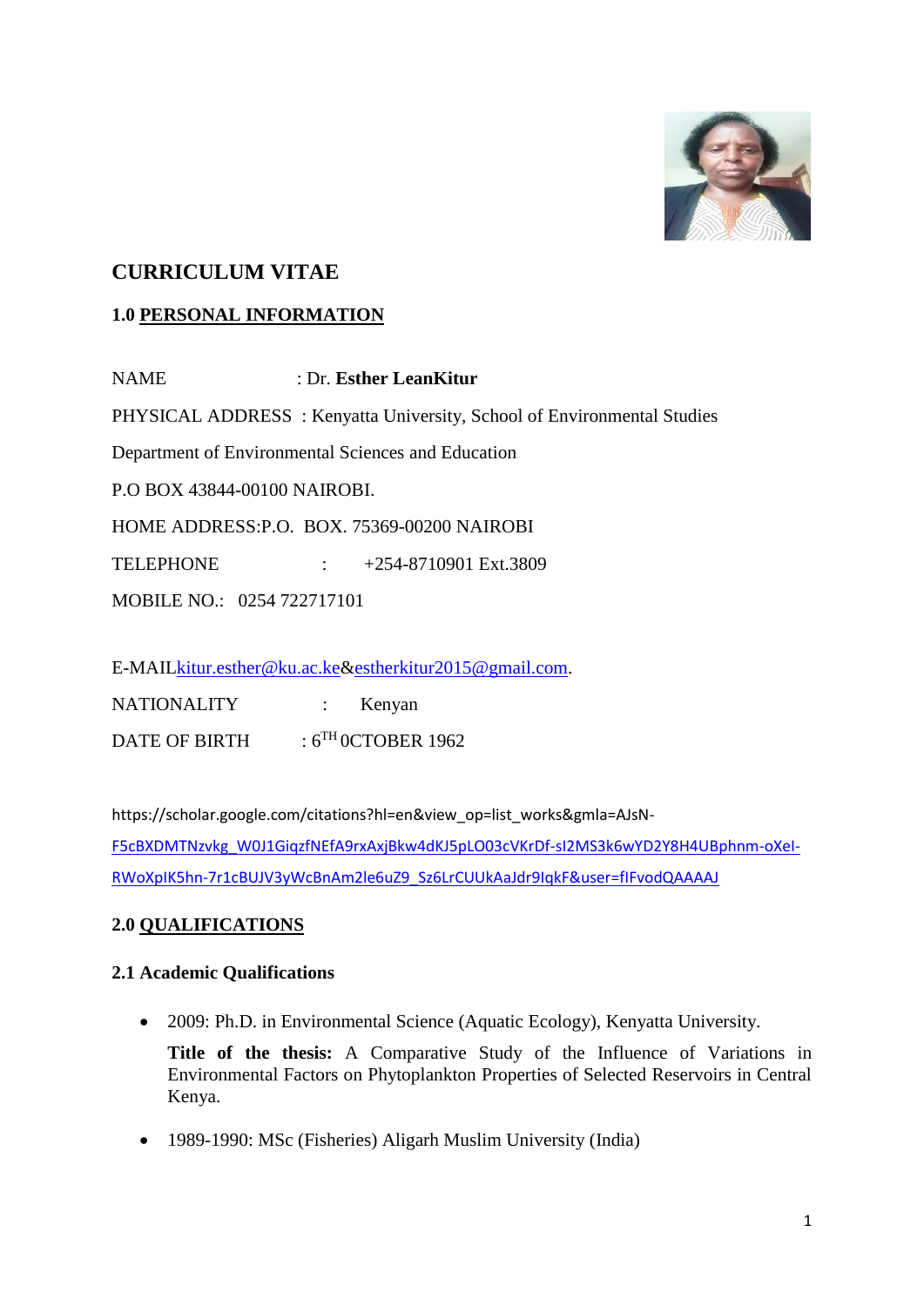

# **CURRICULUM VITAE**

## **1.0 PERSONAL INFORMATION**

NAME : Dr. **Esther LeanKitur** PHYSICAL ADDRESS : Kenyatta University, School of Environmental Studies Department of Environmental Sciences and Education P.O BOX 43844-00100 NAIROBI. HOME ADDRESS:P.O. BOX. 75369-00200 NAIROBI TELEPHONE : +254-8710901 Ext.3809 MOBILE NO.: 0254 722717101

E-MAI[Lkitur.esther@ku.ac.ke](mailto:kitur.esther@ku.ac.ke)[&estherkitur2015@gmail.com.](mailto:estherkitur2015@gmail.com)

NATIONALITY : Kenyan

DATE OF BIRTH :  $6<sup>TH</sup>0CTOBER$  1962

[https://scholar.google.com/citations?hl=en&view\\_op=list\\_works&gmla=AJsN-](https://scholar.google.com/citations?hl=en&view_op=list_works&gmla=AJsN-F5cBXDMTNzvkg_W0J1GiqzfNEfA9rxAxjBkw4dKJ5pLO03cVKrDf-sI2MS3k6wYD2Y8H4UBphnm-oXeI-RWoXpIK5hn-7r1cBUJV3yWcBnAm2le6uZ9_Sz6LrCUUkAaJdr9IqkF&user=fIFvodQAAAAJ)[F5cBXDMTNzvkg\\_W0J1GiqzfNEfA9rxAxjBkw4dKJ5pLO03cVKrDf-sI2MS3k6wYD2Y8H4UBphnm-oXeI-](https://scholar.google.com/citations?hl=en&view_op=list_works&gmla=AJsN-F5cBXDMTNzvkg_W0J1GiqzfNEfA9rxAxjBkw4dKJ5pLO03cVKrDf-sI2MS3k6wYD2Y8H4UBphnm-oXeI-RWoXpIK5hn-7r1cBUJV3yWcBnAm2le6uZ9_Sz6LrCUUkAaJdr9IqkF&user=fIFvodQAAAAJ)[RWoXpIK5hn-7r1cBUJV3yWcBnAm2le6uZ9\\_Sz6LrCUUkAaJdr9IqkF&user=fIFvodQAAAAJ](https://scholar.google.com/citations?hl=en&view_op=list_works&gmla=AJsN-F5cBXDMTNzvkg_W0J1GiqzfNEfA9rxAxjBkw4dKJ5pLO03cVKrDf-sI2MS3k6wYD2Y8H4UBphnm-oXeI-RWoXpIK5hn-7r1cBUJV3yWcBnAm2le6uZ9_Sz6LrCUUkAaJdr9IqkF&user=fIFvodQAAAAJ)

## **2.0 QUALIFICATIONS**

## **2.1 Academic Qualifications**

2009: Ph.D. in Environmental Science (Aquatic Ecology), Kenyatta University.

**Title of the thesis:** A Comparative Study of the Influence of Variations in Environmental Factors on Phytoplankton Properties of Selected Reservoirs in Central Kenya.

• 1989-1990: MSc (Fisheries) Aligarh Muslim University (India)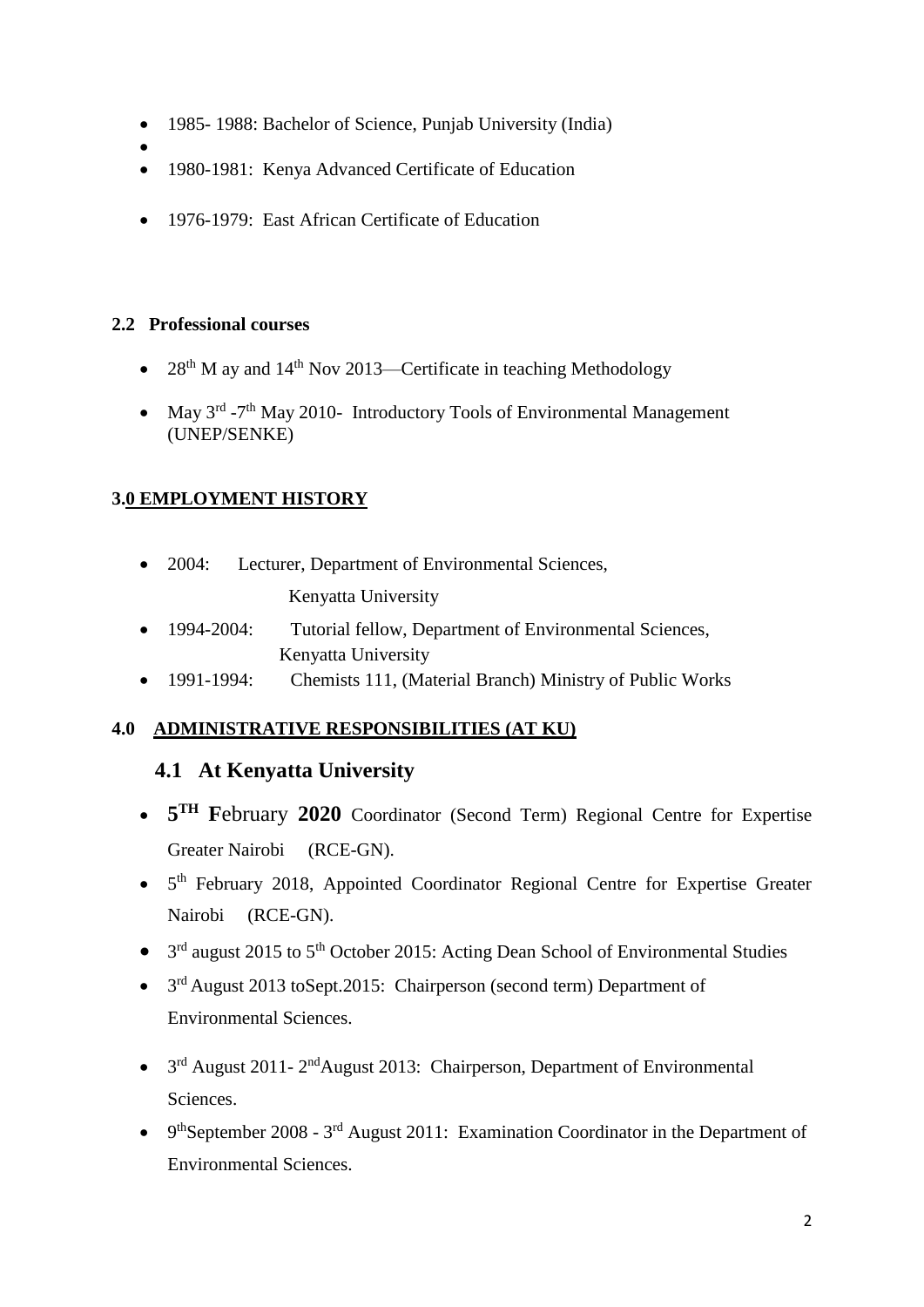- 1985- 1988: Bachelor of Science, Punjab University (India)
- $\bullet$ 1980-1981: Kenya Advanced Certificate of Education
- 1976-1979: East African Certificate of Education

## **2.2 Professional courses**

- 28<sup>th</sup> M ay and 14<sup>th</sup> Nov 2013—Certificate in teaching Methodology
- May  $3^{rd}$  -7<sup>th</sup> May 2010- Introductory Tools of Environmental Management (UNEP/SENKE)

# **3.0 EMPLOYMENT HISTORY**

• 2004: Lecturer, Department of Environmental Sciences,

Kenyatta University

- 1994-2004: Tutorial fellow, Department of Environmental Sciences, Kenyatta University
- 1991-1994: Chemists 111, (Material Branch) Ministry of Public Works

# **4.0 ADMINISTRATIVE RESPONSIBILITIES (AT KU)**

# **4.1 At Kenyatta University**

- **5 TH F**ebruary **2020** Coordinator (Second Term) Regional Centre for Expertise Greater Nairobi (RCE-GN).
- 5<sup>th</sup> February 2018, Appointed Coordinator Regional Centre for Expertise Greater Nairobi (RCE-GN).
- 3<sup>rd</sup> august 2015 to 5<sup>th</sup> October 2015: Acting Dean School of Environmental Studies
- 3<sup>rd</sup> August 2013 toSept.2015: Chairperson (second term) Department of Environmental Sciences.
- 3<sup>rd</sup> August 2011-2<sup>nd</sup> August 2013: Chairperson, Department of Environmental Sciences.
- $\bullet$  9<sup>th</sup>September 2008 3<sup>rd</sup> August 2011: Examination Coordinator in the Department of Environmental Sciences.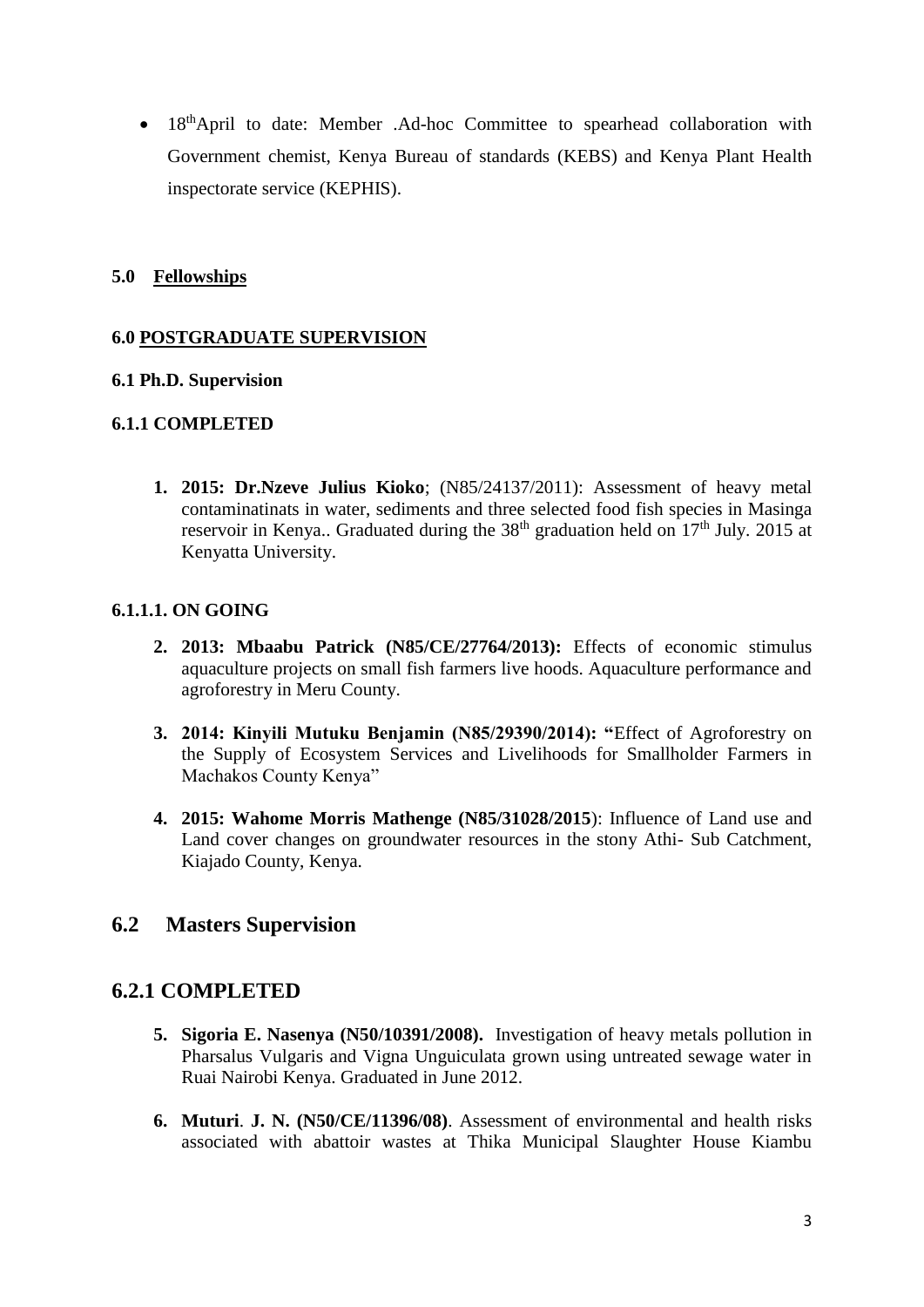• 18<sup>th</sup>April to date: Member .Ad-hoc Committee to spearhead collaboration with Government chemist, Kenya Bureau of standards (KEBS) and Kenya Plant Health inspectorate service (KEPHIS).

#### **5.0 Fellowships**

#### **6.0 POSTGRADUATE SUPERVISION**

#### **6.1 Ph.D. Supervision**

## **6.1.1 COMPLETED**

**1. 2015: Dr.Nzeve Julius Kioko**; (N85/24137/2011): Assessment of heavy metal contaminatinats in water, sediments and three selected food fish species in Masinga reservoir in Kenya.. Graduated during the  $38<sup>th</sup>$  graduation held on  $17<sup>th</sup>$  July. 2015 at Kenyatta University.

#### **6.1.1.1. ON GOING**

- **2. 2013: Mbaabu Patrick (N85/CE/27764/2013):** Effects of economic stimulus aquaculture projects on small fish farmers live hoods. Aquaculture performance and agroforestry in Meru County.
- **3. 2014: Kinyili Mutuku Benjamin (N85/29390/2014): "**Effect of Agroforestry on the Supply of Ecosystem Services and Livelihoods for Smallholder Farmers in Machakos County Kenya"
- **4. 2015: Wahome Morris Mathenge (N85/31028/2015**): Influence of Land use and Land cover changes on groundwater resources in the stony Athi- Sub Catchment, Kiajado County, Kenya.

# **6.2 Masters Supervision**

# **6.2.1 COMPLETED**

- **5. Sigoria E. Nasenya (N50/10391/2008).** Investigation of heavy metals pollution in Pharsalus Vulgaris and Vigna Unguiculata grown using untreated sewage water in Ruai Nairobi Kenya. Graduated in June 2012.
- **6. Muturi**. **J. N. (N50/CE/11396/08)**. Assessment of environmental and health risks associated with abattoir wastes at Thika Municipal Slaughter House Kiambu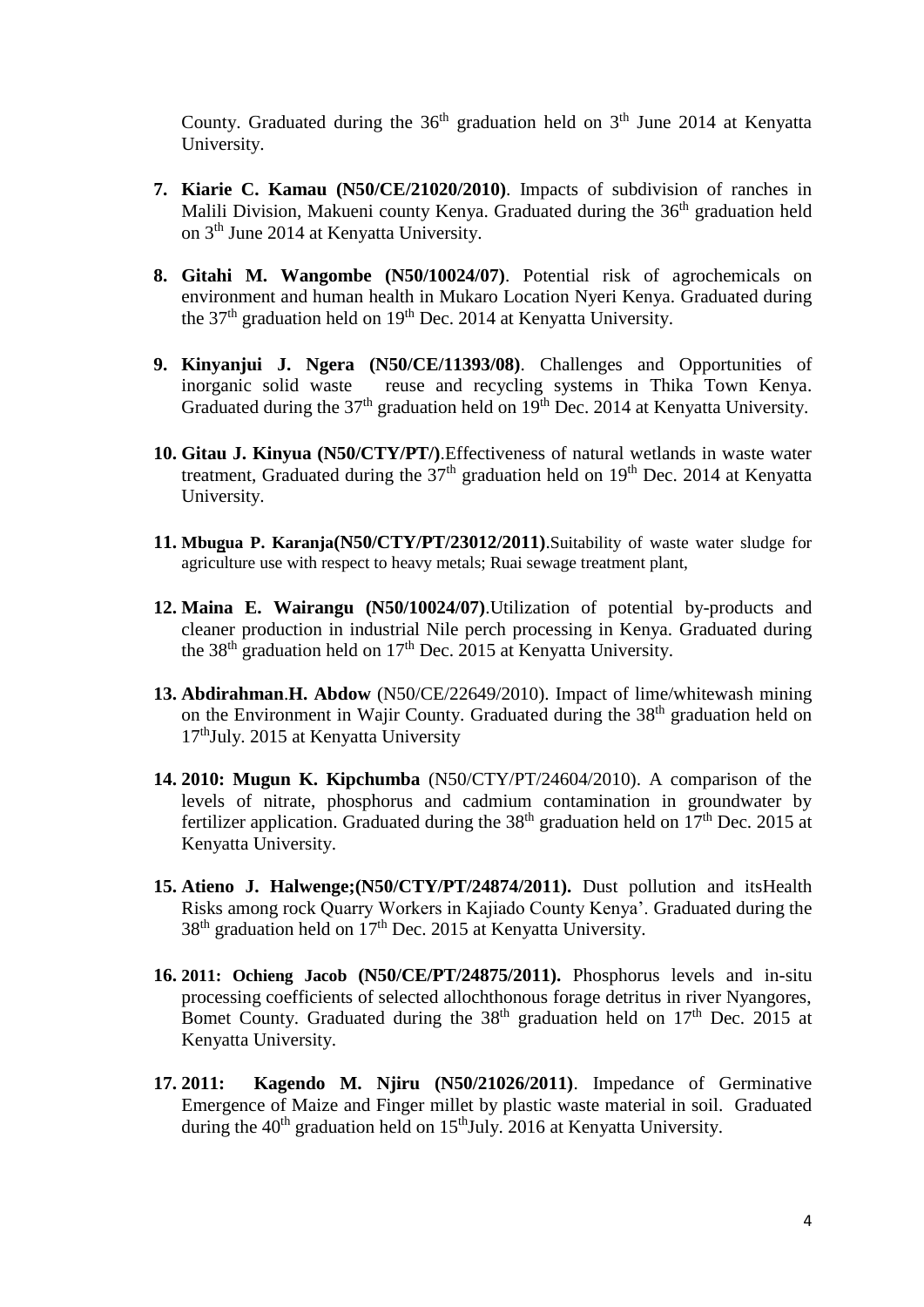County. Graduated during the  $36<sup>th</sup>$  graduation held on  $3<sup>th</sup>$  June 2014 at Kenyatta University.

- **7. Kiarie C. Kamau (N50/CE/21020/2010)**. Impacts of subdivision of ranches in Malili Division, Makueni county Kenya. Graduated during the  $36<sup>th</sup>$  graduation held on 3th June 2014 at Kenyatta University.
- **8. Gitahi M. Wangombe (N50/10024/07)**. Potential risk of agrochemicals on environment and human health in Mukaro Location Nyeri Kenya. Graduated during the 37<sup>th</sup> graduation held on 19<sup>th</sup> Dec. 2014 at Kenyatta University.
- **9. Kinyanjui J. Ngera (N50/CE/11393/08)**. Challenges and Opportunities of inorganic solid waste reuse and recycling systems in Thika Town Kenya. Graduated during the 37<sup>th</sup> graduation held on 19<sup>th</sup> Dec. 2014 at Kenyatta University.
- **10. Gitau J. Kinyua (N50/CTY/PT/)**.Effectiveness of natural wetlands in waste water treatment, Graduated during the  $37<sup>th</sup>$  graduation held on  $19<sup>th</sup>$  Dec. 2014 at Kenyatta University.
- **11. Mbugua P. Karanja(N50/CTY/PT/23012/2011)**.Suitability of waste water sludge for agriculture use with respect to heavy metals; Ruai sewage treatment plant,
- **12. Maina E. Wairangu (N50/10024/07)**.Utilization of potential by-products and cleaner production in industrial Nile perch processing in Kenya. Graduated during the 38<sup>th</sup> graduation held on 17<sup>th</sup> Dec. 2015 at Kenyatta University.
- **13. Abdirahman**.**H. Abdow** (N50/CE/22649/2010). Impact of lime/whitewash mining on the Environment in Wajir County. Graduated during the 38<sup>th</sup> graduation held on 17 thJuly. 2015 at Kenyatta University
- **14. 2010: Mugun K. Kipchumba** (N50/CTY/PT/24604/2010). A comparison of the levels of nitrate, phosphorus and cadmium contamination in groundwater by fertilizer application. Graduated during the  $38<sup>th</sup>$  graduation held on  $17<sup>th</sup>$  Dec. 2015 at Kenyatta University.
- **15. Atieno J. Halwenge;(N50/CTY/PT/24874/2011).** Dust pollution and itsHealth Risks among rock Quarry Workers in Kajiado County Kenya'. Graduated during the  $38<sup>th</sup>$  graduation held on  $17<sup>th</sup>$  Dec. 2015 at Kenyatta University.
- **16. 2011: Ochieng Jacob (N50/CE/PT/24875/2011).** Phosphorus levels and in-situ processing coefficients of selected allochthonous forage detritus in river Nyangores, Bomet County. Graduated during the  $38<sup>th</sup>$  graduation held on  $17<sup>th</sup>$  Dec. 2015 at Kenyatta University.
- **17. 2011: Kagendo M. Njiru (N50/21026/2011)**. Impedance of Germinative Emergence of Maize and Finger millet by plastic waste material in soil. Graduated during the  $40<sup>th</sup>$  graduation held on  $15<sup>th</sup>$ July. 2016 at Kenyatta University.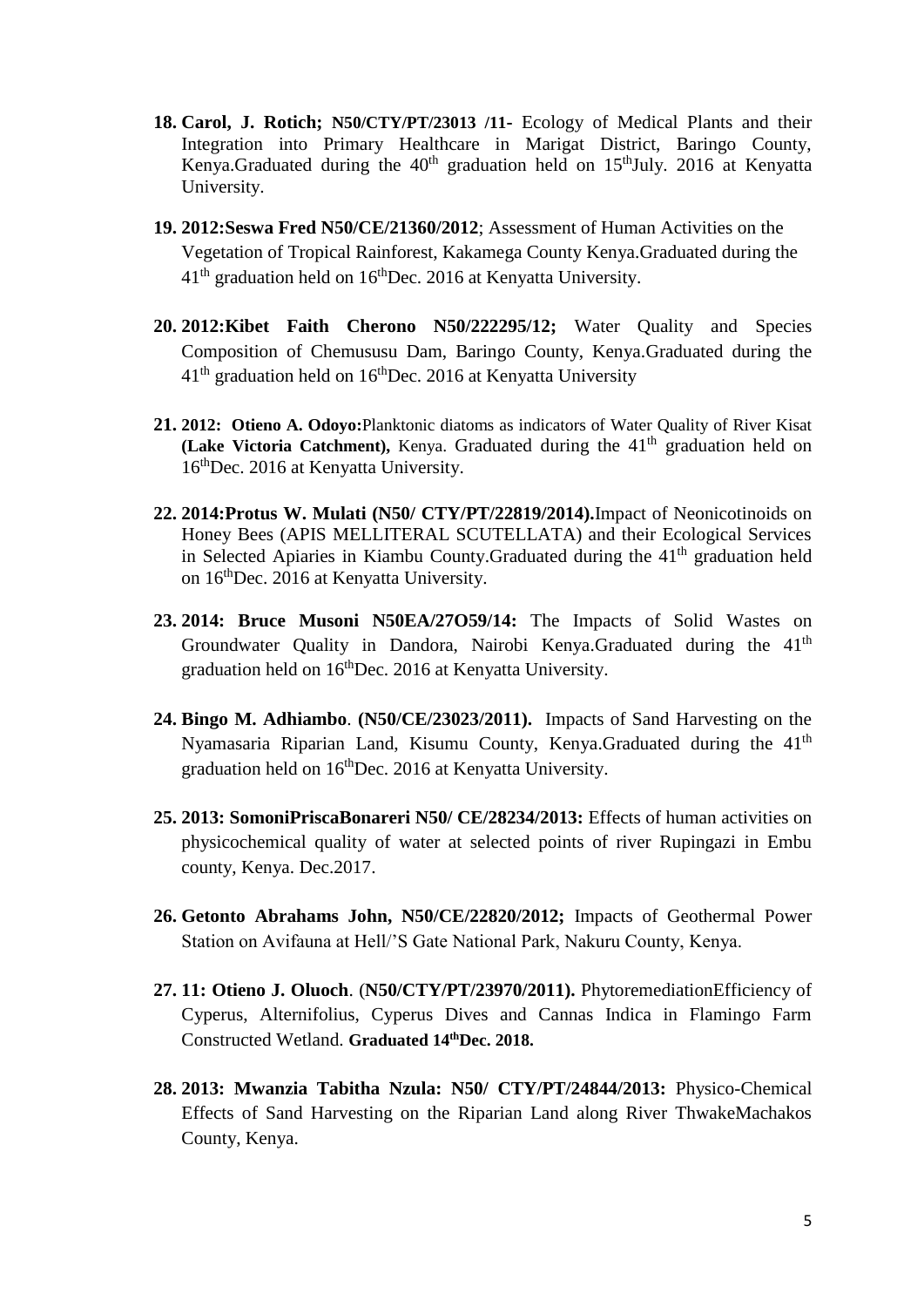- **18. Carol, J. Rotich; N50/CTY/PT/23013 /11-** Ecology of Medical Plants and their Integration into Primary Healthcare in Marigat District, Baringo County, Kenya.Graduated during the  $40<sup>th</sup>$  graduation held on  $15<sup>th</sup>$ July. 2016 at Kenyatta University.
- **19. 2012:Seswa Fred N50/CE/21360/2012**; Assessment of Human Activities on the Vegetation of Tropical Rainforest, Kakamega County Kenya.Graduated during the 41<sup>th</sup> graduation held on 16<sup>th</sup>Dec. 2016 at Kenyatta University.
- **20. 2012:Kibet Faith Cherono N50/222295/12;** Water Quality and Species Composition of Chemususu Dam, Baringo County, Kenya.Graduated during the 41<sup>th</sup> graduation held on 16<sup>th</sup>Dec. 2016 at Kenyatta University
- **21. 2012: Otieno A. Odoyo:**Planktonic diatoms as indicators of Water Quality of River Kisat (Lake Victoria Catchment), Kenya. Graduated during the 41<sup>th</sup> graduation held on 16<sup>th</sup>Dec. 2016 at Kenyatta University.
- **22. 2014:Protus W. Mulati (N50/ CTY/PT/22819/2014).**Impact of Neonicotinoids on Honey Bees (APIS MELLITERAL SCUTELLATA) and their Ecological Services in Selected Apiaries in Kiambu County.Graduated during the  $41<sup>th</sup>$  graduation held on 16<sup>th</sup>Dec. 2016 at Kenyatta University.
- **23. 2014: Bruce Musoni N50EA/27O59/14:** The Impacts of Solid Wastes on Groundwater Quality in Dandora, Nairobi Kenya.Graduated during the 41<sup>th</sup> graduation held on 16<sup>th</sup>Dec. 2016 at Kenyatta University.
- **24. Bingo M. Adhiambo**. **(N50/CE/23023/2011).** Impacts of Sand Harvesting on the Nyamasaria Riparian Land, Kisumu County, Kenya.Graduated during the 41<sup>th</sup> graduation held on 16<sup>th</sup>Dec. 2016 at Kenyatta University.
- **25. 2013: SomoniPriscaBonareri N50/ CE/28234/2013:** Effects of human activities on physicochemical quality of water at selected points of river Rupingazi in Embu county, Kenya. Dec.2017.
- **26. Getonto Abrahams John, N50/CE/22820/2012;** Impacts of Geothermal Power Station on Avifauna at Hell/'S Gate National Park, Nakuru County, Kenya.
- **27. 11: Otieno J. Oluoch**. (**N50/CTY/PT/23970/2011).** PhytoremediationEfficiency of Cyperus, Alternifolius, Cyperus Dives and Cannas Indica in Flamingo Farm Constructed Wetland. **Graduated 14thDec. 2018.**
- **28. 2013: Mwanzia Tabitha Nzula: N50/ CTY/PT/24844/2013:** Physico-Chemical Effects of Sand Harvesting on the Riparian Land along River ThwakeMachakos County, Kenya.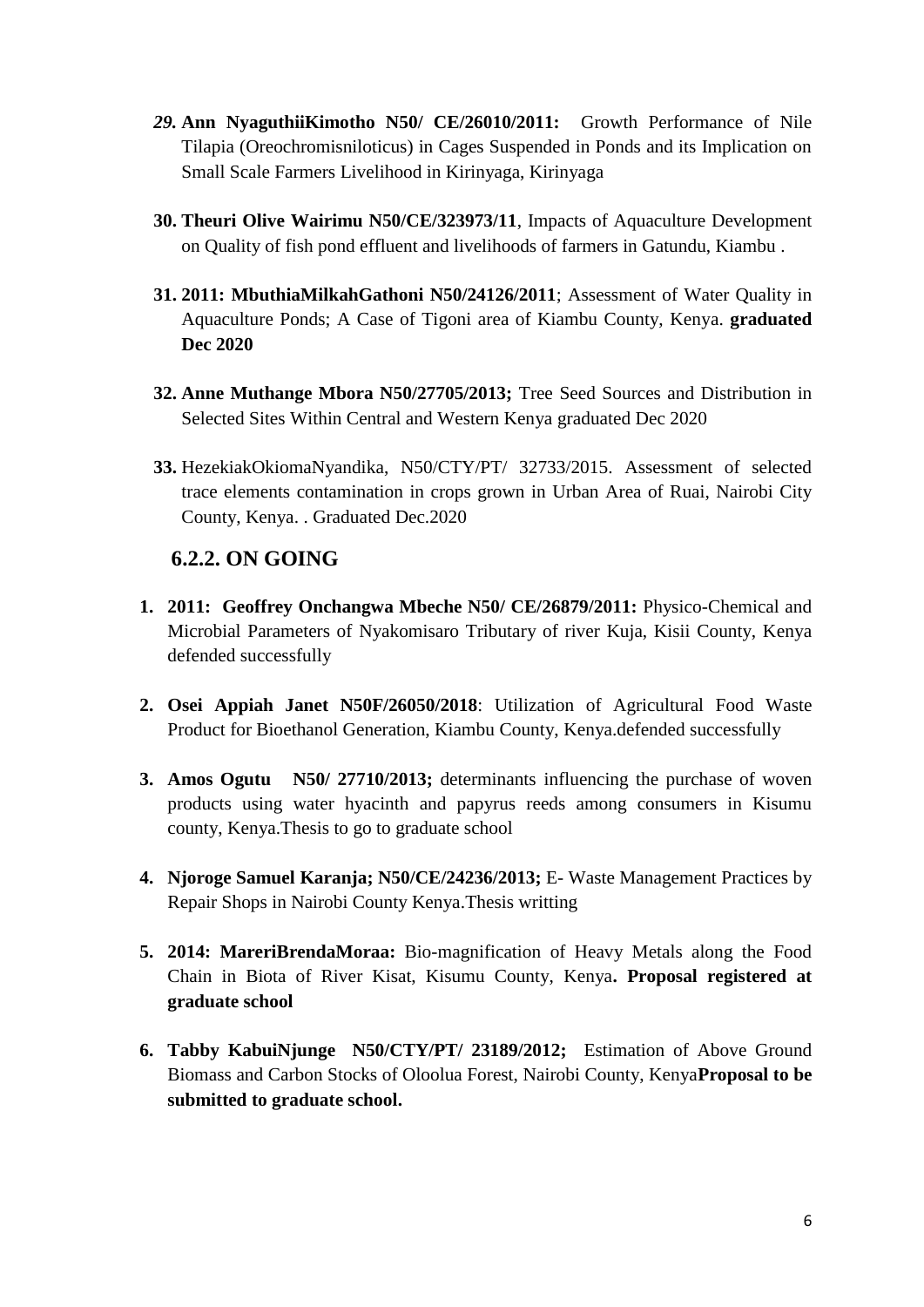- *29.* **Ann NyaguthiiKimotho N50/ CE/26010/2011:** Growth Performance of Nile Tilapia (Oreochromisniloticus) in Cages Suspended in Ponds and its Implication on Small Scale Farmers Livelihood in Kirinyaga, Kirinyaga
- **30. Theuri Olive Wairimu N50/CE/323973/11**, Impacts of Aquaculture Development on Quality of fish pond effluent and livelihoods of farmers in Gatundu, Kiambu .
- **31. 2011: MbuthiaMilkahGathoni N50/24126/2011**; Assessment of Water Quality in Aquaculture Ponds; A Case of Tigoni area of Kiambu County, Kenya. **graduated Dec 2020**
- **32. Anne Muthange Mbora N50/27705/2013;** Tree Seed Sources and Distribution in Selected Sites Within Central and Western Kenya graduated Dec 2020
- **33.** HezekiakOkiomaNyandika, N50/CTY/PT/ 32733/2015. Assessment of selected trace elements contamination in crops grown in Urban Area of Ruai, Nairobi City County, Kenya. . Graduated Dec.2020

# **6.2.2. ON GOING**

- **1. 2011: Geoffrey Onchangwa Mbeche N50/ CE/26879/2011:** Physico-Chemical and Microbial Parameters of Nyakomisaro Tributary of river Kuja, Kisii County, Kenya defended successfully
- **2. Osei Appiah Janet N50F/26050/2018**: Utilization of Agricultural Food Waste Product for Bioethanol Generation, Kiambu County, Kenya.defended successfully
- **3. Amos Ogutu N50/ 27710/2013;** determinants influencing the purchase of woven products using water hyacinth and papyrus reeds among consumers in Kisumu county, Kenya.Thesis to go to graduate school
- **4. Njoroge Samuel Karanja; N50/CE/24236/2013;** E- Waste Management Practices by Repair Shops in Nairobi County Kenya.Thesis writting
- **5. 2014: MareriBrendaMoraa:** Bio-magnification of Heavy Metals along the Food Chain in Biota of River Kisat, Kisumu County, Kenya**. Proposal registered at graduate school**
- **6. Tabby KabuiNjunge N50/CTY/PT/ 23189/2012;** Estimation of Above Ground Biomass and Carbon Stocks of Oloolua Forest, Nairobi County, Kenya**Proposal to be submitted to graduate school.**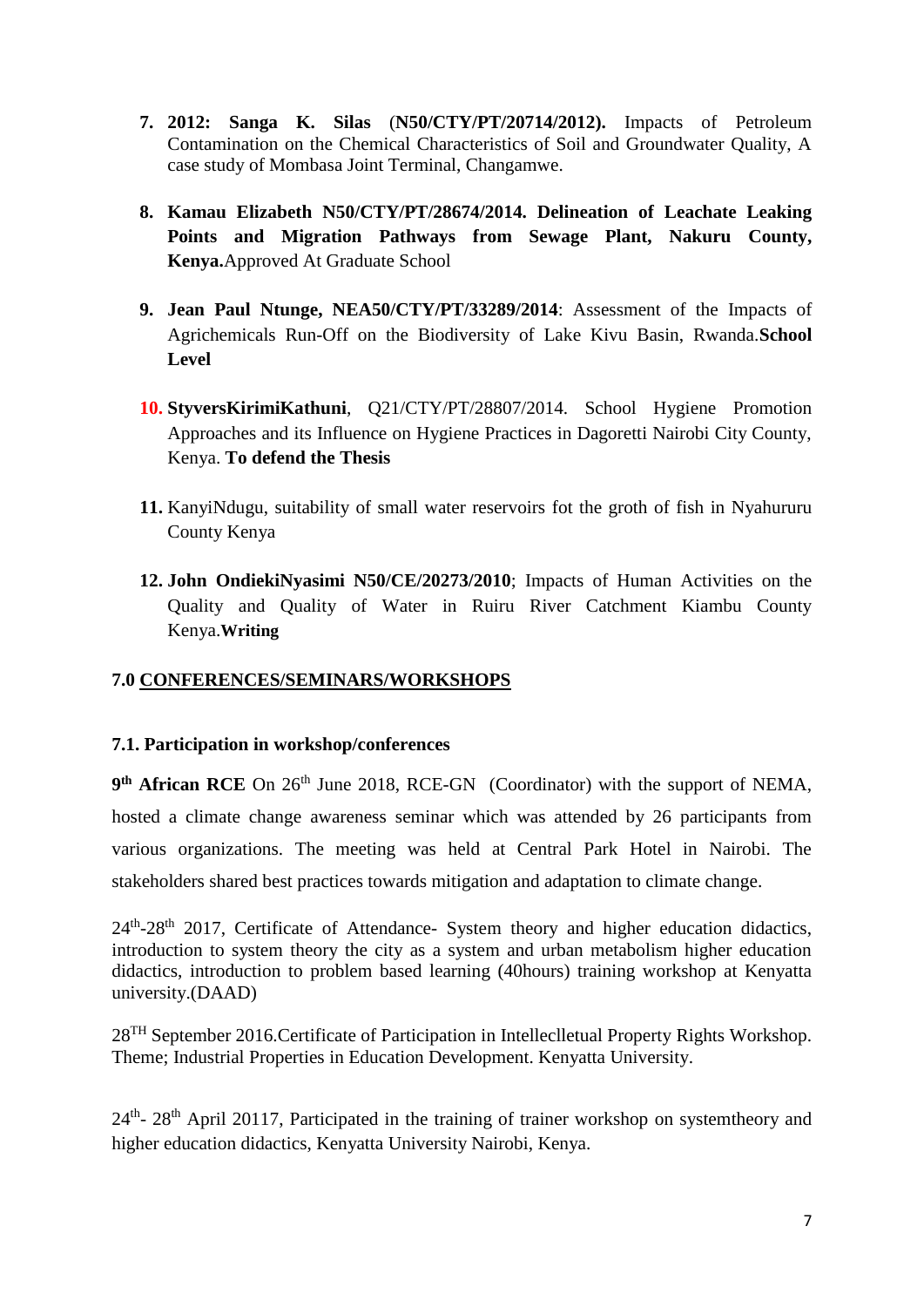- **7. 2012: Sanga K. Silas** (**N50/CTY/PT/20714/2012).** Impacts of Petroleum Contamination on the Chemical Characteristics of Soil and Groundwater Quality, A case study of Mombasa Joint Terminal, Changamwe.
- **8. Kamau Elizabeth N50/CTY/PT/28674/2014. Delineation of Leachate Leaking Points and Migration Pathways from Sewage Plant, Nakuru County, Kenya.**Approved At Graduate School
- **9. Jean Paul Ntunge, NEA50/CTY/PT/33289/2014**: Assessment of the Impacts of Agrichemicals Run-Off on the Biodiversity of Lake Kivu Basin, Rwanda.**School Level**
- **10. StyversKirimiKathuni**, Q21/CTY/PT/28807/2014. School Hygiene Promotion Approaches and its Influence on Hygiene Practices in Dagoretti Nairobi City County, Kenya. **To defend the Thesis**
- **11.** KanyiNdugu, suitability of small water reservoirs fot the groth of fish in Nyahururu County Kenya
- **12. John OndiekiNyasimi N50/CE/20273/2010**; Impacts of Human Activities on the Quality and Quality of Water in Ruiru River Catchment Kiambu County Kenya.**Writing**

# **7.0 CONFERENCES/SEMINARS/WORKSHOPS**

## **7.1. Participation in workshop/conferences**

9<sup>th</sup> African RCE On 26<sup>th</sup> June 2018, RCE-GN (Coordinator) with the support of NEMA, hosted a climate change awareness seminar which was attended by 26 participants from various organizations. The meeting was held at Central Park Hotel in Nairobi. The stakeholders shared best practices towards mitigation and adaptation to climate change.

24<sup>th</sup>-28<sup>th</sup> 2017, Certificate of Attendance- System theory and higher education didactics, introduction to system theory the city as a system and urban metabolism higher education didactics, introduction to problem based learning (40hours) training workshop at Kenyatta university.(DAAD)

28TH September 2016.Certificate of Participation in Intelleclletual Property Rights Workshop. Theme; Industrial Properties in Education Development. Kenyatta University.

24<sup>th</sup>- 28<sup>th</sup> April 20117, Participated in the training of trainer workshop on systemtheory and higher education didactics, Kenyatta University Nairobi, Kenya.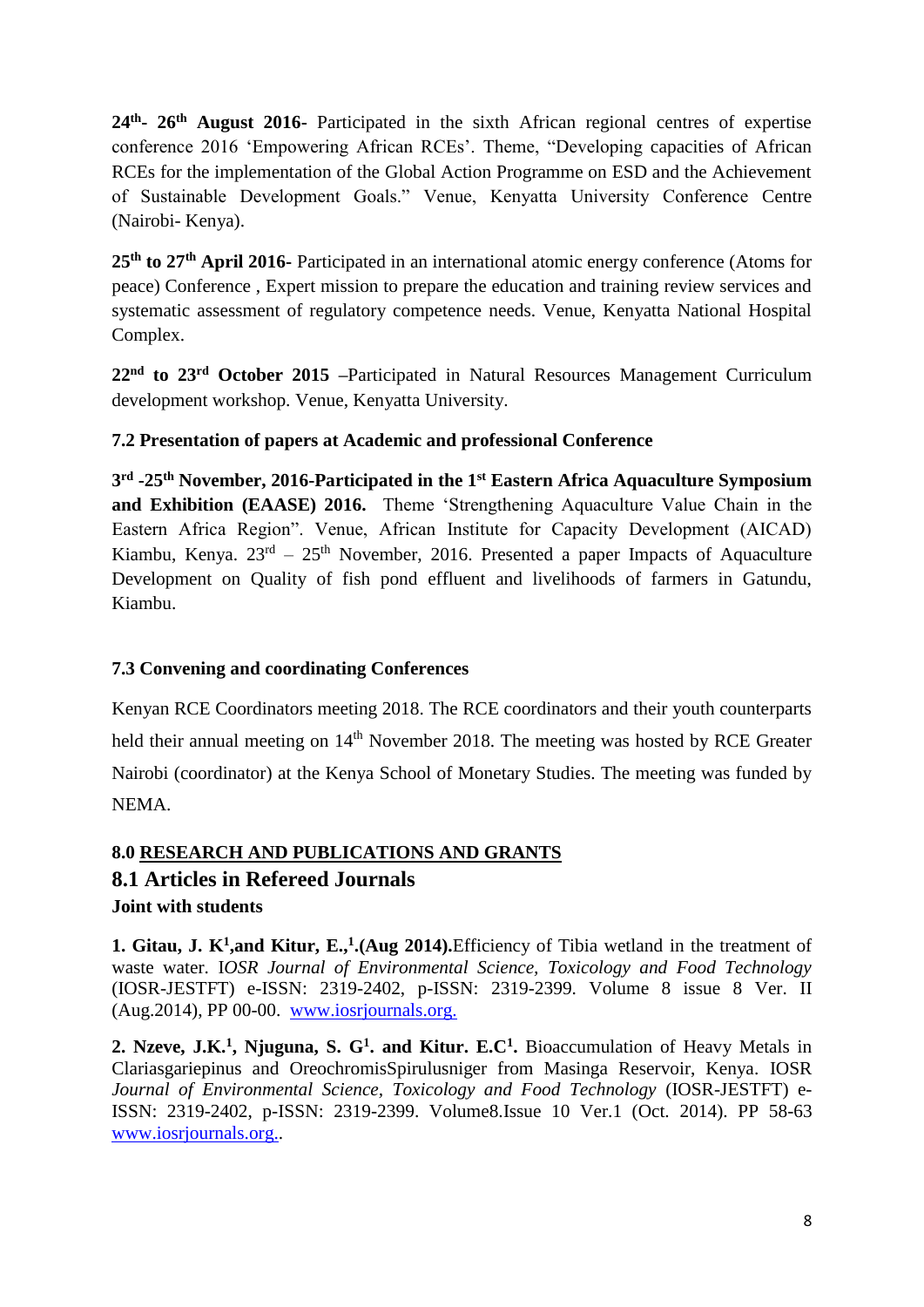**24th - 26th August 2016-** Participated in the sixth African regional centres of expertise conference 2016 'Empowering African RCEs'. Theme, "Developing capacities of African RCEs for the implementation of the Global Action Programme on ESD and the Achievement of Sustainable Development Goals." Venue, Kenyatta University Conference Centre (Nairobi- Kenya).

**25th to 27th April 2016-** Participated in an international atomic energy conference (Atoms for peace) Conference , Expert mission to prepare the education and training review services and systematic assessment of regulatory competence needs. Venue, Kenyatta National Hospital Complex.

**22nd to 23rd October 2015 –**Participated in Natural Resources Management Curriculum development workshop. Venue, Kenyatta University.

# **7.2 Presentation of papers at Academic and professional Conference**

**3 rd -25th November, 2016-Participated in the 1st Eastern Africa Aquaculture Symposium and Exhibition (EAASE) 2016.** Theme 'Strengthening Aquaculture Value Chain in the Eastern Africa Region". Venue, African Institute for Capacity Development (AICAD) Kiambu, Kenya.  $23<sup>rd</sup> - 25<sup>th</sup>$  November, 2016. Presented a paper Impacts of Aquaculture Development on Quality of fish pond effluent and livelihoods of farmers in Gatundu, Kiambu.

# **7.3 Convening and coordinating Conferences**

Kenyan RCE Coordinators meeting 2018. The RCE coordinators and their youth counterparts held their annual meeting on 14<sup>th</sup> November 2018. The meeting was hosted by RCE Greater Nairobi (coordinator) at the Kenya School of Monetary Studies. The meeting was funded by NEMA.

## **8.0 RESEARCH AND PUBLICATIONS AND GRANTS 8.1 Articles in Refereed Journals**

**Joint with students**

**1. Gitau, J. K<sup>1</sup>, and Kitur, E.,<sup>1</sup>.**(Aug 2014). Efficiency of Tibia wetland in the treatment of waste water. I*OSR Journal of Environmental Science, Toxicology and Food Technology*  (IOSR-JESTFT) e-ISSN: 2319-2402, p-ISSN: 2319-2399. Volume 8 issue 8 Ver. II (Aug.2014), PP 00-00. [www.iosrjournals.org.](http://www.iosrjournals.org/)

**2. Nzeve, J.K.<sup>1</sup> , Njuguna, S. G<sup>1</sup> . and Kitur. E.C<sup>1</sup> .** Bioaccumulation of Heavy Metals in Clariasgariepinus and OreochromisSpirulusniger from Masinga Reservoir, Kenya. IOSR *Journal of Environmental Science, Toxicology and Food Technology* (IOSR-JESTFT) e-ISSN: 2319-2402, p-ISSN: 2319-2399. Volume8.Issue 10 Ver.1 (Oct. 2014). PP 58-63 [www.iosrjournals.org.](http://www.iosrjournals.org/).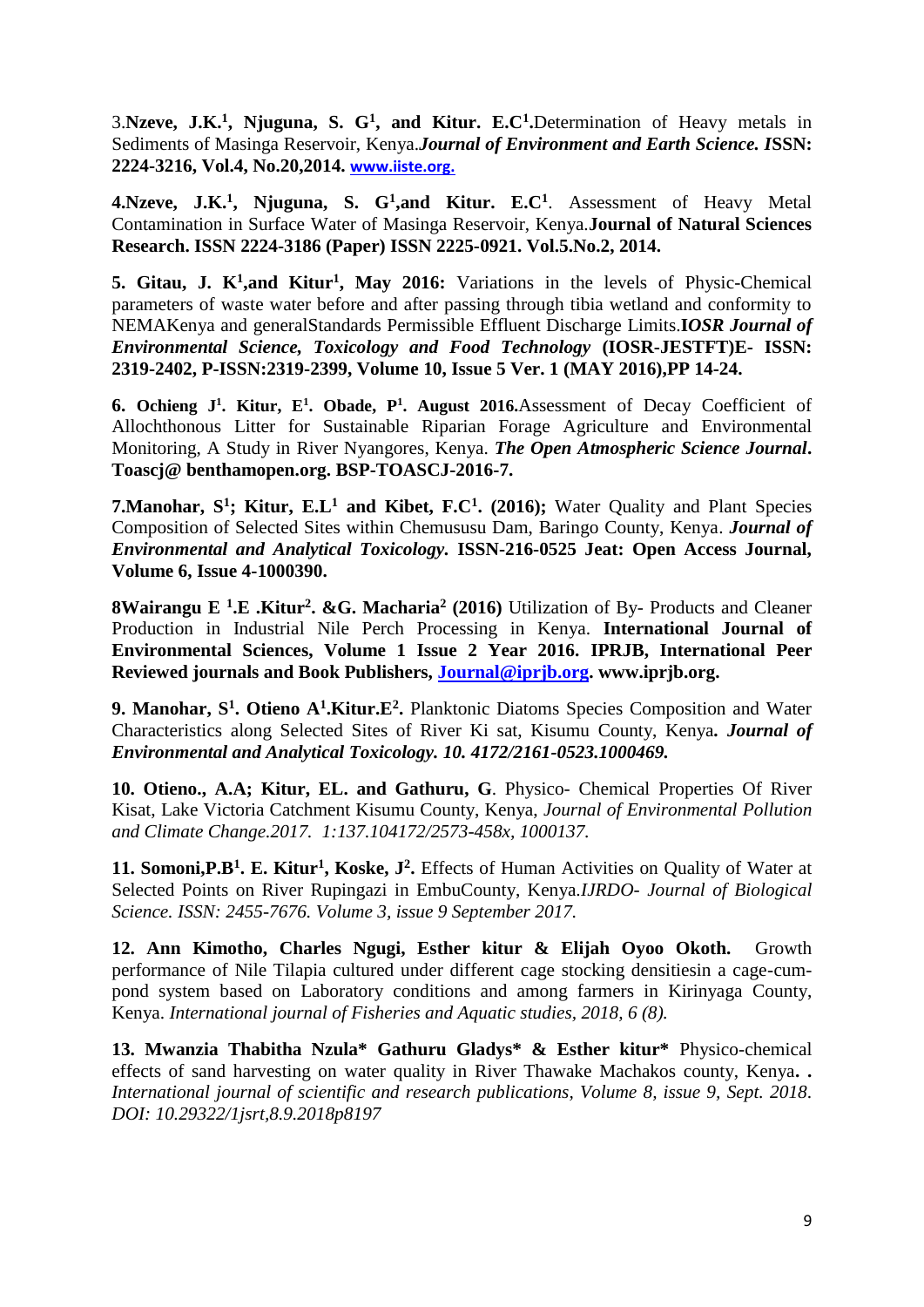3.**Nzeve, J.K.<sup>1</sup> , Njuguna, S. G<sup>1</sup> , and Kitur. E.C<sup>1</sup> .**Determination of Heavy metals in Sediments of Masinga Reservoir, Kenya.*Journal of Environment and Earth Science. I***SSN: 2224-3216, Vol.4, No.20,2014. www.iiste.org.** 

**4. Nzeve, J.K.<sup>1</sup>, Njuguna, S. G<sup>1</sup>,and Kitur. E.C<sup>1</sup>. Assessment of Heavy Metal** Contamination in Surface Water of Masinga Reservoir, Kenya.**Journal of Natural Sciences Research. ISSN 2224-3186 (Paper) ISSN 2225-0921. Vol.5.No.2, 2014.**

5. Gitau, J. K<sup>1</sup>, and Kitur<sup>1</sup>, May 2016: Variations in the levels of Physic-Chemical parameters of waste water before and after passing through tibia wetland and conformity to NEMAKenya and generalStandards Permissible Effluent Discharge Limits.**I***OSR Journal of Environmental Science, Toxicology and Food Technology* **(IOSR-JESTFT)E- ISSN: 2319-2402, P-ISSN:2319-2399, Volume 10, Issue 5 Ver. 1 (MAY 2016),PP 14-24.**

**6. Ochieng J<sup>1</sup> . Kitur, E<sup>1</sup> . Obade, P 1 . August 2016.**Assessment of Decay Coefficient of Allochthonous Litter for Sustainable Riparian Forage Agriculture and Environmental Monitoring, A Study in River Nyangores, Kenya. *The Open Atmospheric Science Journal***. Toascj@ benthamopen.org. BSP-TOASCJ-2016-7.**

**7.Manohar, S<sup>1</sup> ; Kitur, E.L<sup>1</sup> and Kibet, F.C<sup>1</sup> . (2016);** Water Quality and Plant Species Composition of Selected Sites within Chemususu Dam, Baringo County, Kenya. *Journal of Environmental and Analytical Toxicology.* **ISSN-216-0525 Jeat: Open Access Journal, Volume 6, Issue 4-1000390.**

**8Wairangu E <sup>1</sup> .E .Kitur<sup>2</sup> . &G. Macharia<sup>2</sup> (2016)** Utilization of By- Products and Cleaner Production in Industrial Nile Perch Processing in Kenya. **International Journal of Environmental Sciences, Volume 1 Issue 2 Year 2016. IPRJB, International Peer Reviewed journals and Book Publishers, [Journal@iprjb.org.](mailto:Journal@iprjb.org) www.iprjb.org.**

**9. Manohar, S<sup>1</sup> . Otieno A<sup>1</sup> .Kitur.E<sup>2</sup> .** Planktonic Diatoms Species Composition and Water Characteristics along Selected Sites of River Ki sat, Kisumu County, Kenya*. Journal of Environmental and Analytical Toxicology. 10. 4172/2161-0523.1000469.*

**10. Otieno., A.A; Kitur, EL. and Gathuru, G**. Physico- Chemical Properties Of River Kisat, Lake Victoria Catchment Kisumu County, Kenya, *Journal of Environmental Pollution and Climate Change.2017. 1:137.104172/2573-458x, 1000137.*

**11. Somoni,P.B<sup>1</sup> . E. Kitur<sup>1</sup> , Koske, J<sup>2</sup> .** Effects of Human Activities on Quality of Water at Selected Points on River Rupingazi in EmbuCounty, Kenya.*IJRDO- Journal of Biological Science. ISSN: 2455-7676. Volume 3, issue 9 September 2017.*

**12. Ann Kimotho, Charles Ngugi, Esther kitur & Elijah Oyoo Okoth.** Growth performance of Nile Tilapia cultured under different cage stocking densitiesin a cage-cumpond system based on Laboratory conditions and among farmers in Kirinyaga County, Kenya. *International journal of Fisheries and Aquatic studies, 2018, 6 (8).*

**13. Mwanzia Thabitha Nzula\* Gathuru Gladys\* & Esther kitur\*** Physico-chemical effects of sand harvesting on water quality in River Thawake Machakos county, Kenya**. .**  *International journal of scientific and research publications, Volume 8, issue 9, Sept. 2018. DOI: 10.29322/1jsrt,8.9.2018p8197*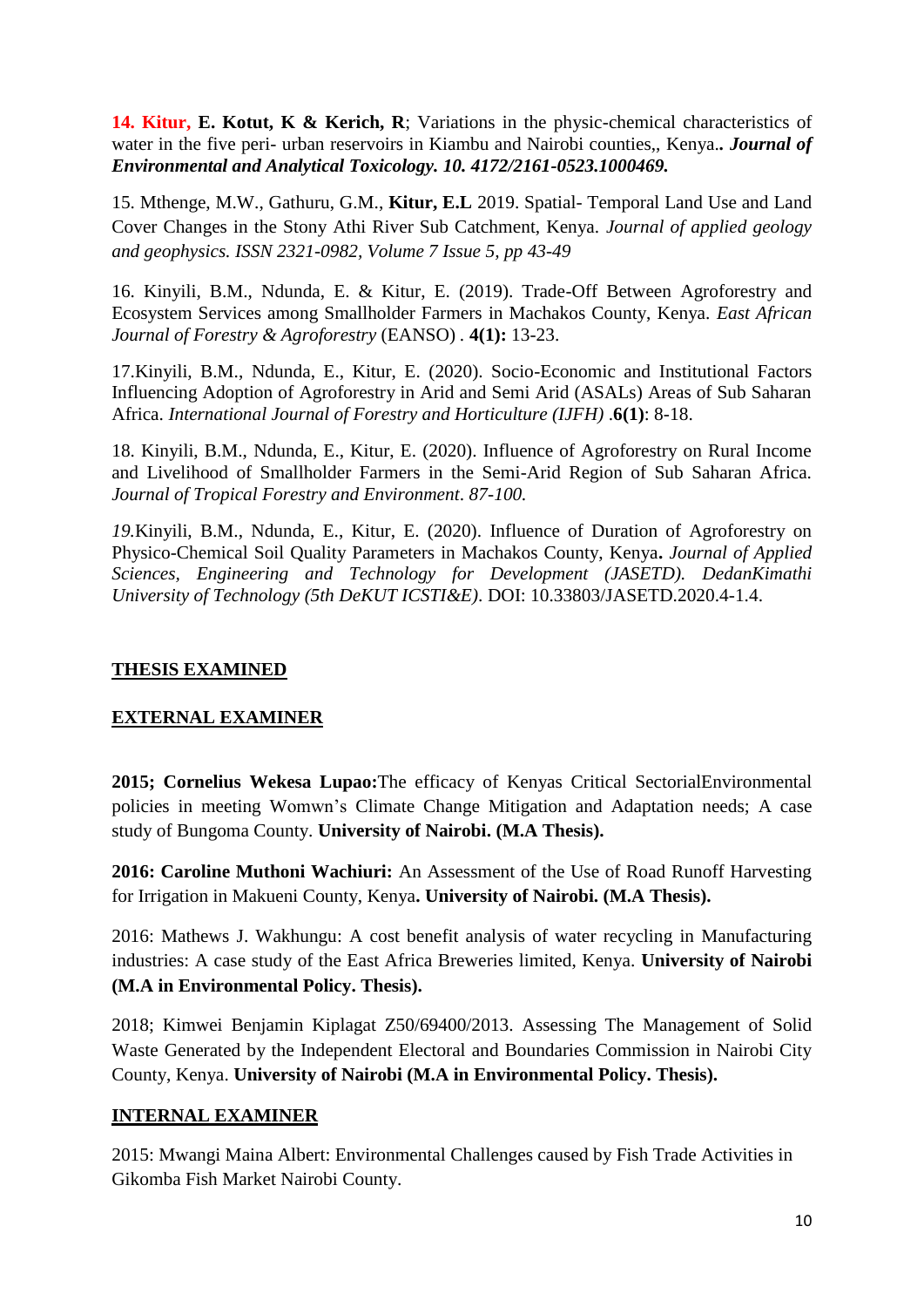**14. Kitur, E. Kotut, K & Kerich, R**; Variations in the physic-chemical characteristics of water in the five peri- urban reservoirs in Kiambu and Nairobi counties,, Kenya.*. Journal of Environmental and Analytical Toxicology. 10. 4172/2161-0523.1000469.*

15. Mthenge, M.W., Gathuru, G.M., **Kitur, E.L** 2019. Spatial- Temporal Land Use and Land Cover Changes in the Stony Athi River Sub Catchment, Kenya. *Journal of applied geology and geophysics. ISSN 2321-0982, Volume 7 Issue 5, pp 43-49*

16. Kinyili, B.M., Ndunda, E. & Kitur, E. (2019). Trade-Off Between Agroforestry and Ecosystem Services among Smallholder Farmers in Machakos County, Kenya. *East African Journal of Forestry & Agroforestry* (EANSO) *.* **4(1):** 13-23.

17.Kinyili, B.M., Ndunda, E., Kitur, E. (2020). Socio-Economic and Institutional Factors Influencing Adoption of Agroforestry in Arid and Semi Arid (ASALs) Areas of Sub Saharan Africa. *International Journal of Forestry and Horticulture (IJFH)* .**6(1)**: 8-18.

18. Kinyili, B.M., Ndunda, E., Kitur, E. (2020). Influence of Agroforestry on Rural Income and Livelihood of Smallholder Farmers in the Semi-Arid Region of Sub Saharan Africa. *Journal of Tropical Forestry and Environment*. *87-100.*

*19.*Kinyili, B.M., Ndunda, E., Kitur, E. (2020). Influence of Duration of Agroforestry on Physico-Chemical Soil Quality Parameters in Machakos County, Kenya**.** *Journal of Applied Sciences, Engineering and Technology for Development (JASETD). DedanKimathi University of Technology (5th DeKUT ICSTI&E)*. DOI: 10.33803/JASETD.2020.4-1.4.

## **THESIS EXAMINED**

## **EXTERNAL EXAMINER**

**2015; Cornelius Wekesa Lupao:**The efficacy of Kenyas Critical SectorialEnvironmental policies in meeting Womwn's Climate Change Mitigation and Adaptation needs; A case study of Bungoma County. **University of Nairobi. (M.A Thesis).**

**2016: Caroline Muthoni Wachiuri:** An Assessment of the Use of Road Runoff Harvesting for Irrigation in Makueni County, Kenya**. University of Nairobi. (M.A Thesis).**

2016: Mathews J. Wakhungu: A cost benefit analysis of water recycling in Manufacturing industries: A case study of the East Africa Breweries limited, Kenya. **University of Nairobi (M.A in Environmental Policy. Thesis).**

2018; Kimwei Benjamin Kiplagat Z50/69400/2013. Assessing The Management of Solid Waste Generated by the Independent Electoral and Boundaries Commission in Nairobi City County, Kenya. **University of Nairobi (M.A in Environmental Policy. Thesis).**

## **INTERNAL EXAMINER**

2015: Mwangi Maina Albert: Environmental Challenges caused by Fish Trade Activities in Gikomba Fish Market Nairobi County.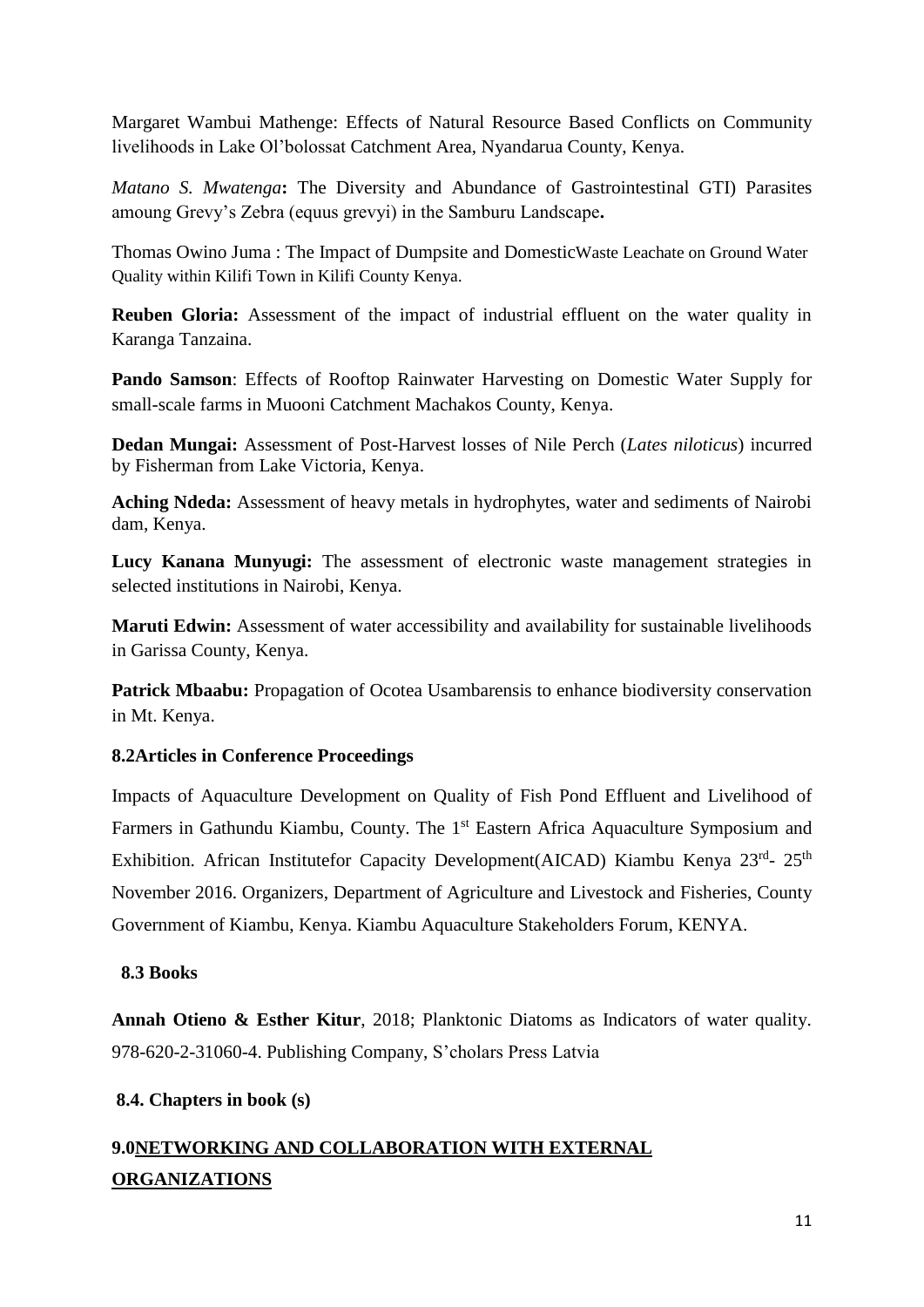Margaret Wambui Mathenge: Effects of Natural Resource Based Conflicts on Community livelihoods in Lake Ol'bolossat Catchment Area, Nyandarua County, Kenya.

*Matano S. Mwatenga***:** The Diversity and Abundance of Gastrointestinal GTI) Parasites amoung Grevy's Zebra (equus grevyi) in the Samburu Landscape**.**

Thomas Owino Juma : The Impact of Dumpsite and DomesticWaste Leachate on Ground Water Quality within Kilifi Town in Kilifi County Kenya.

**Reuben Gloria:** Assessment of the impact of industrial effluent on the water quality in Karanga Tanzaina.

**Pando Samson**: Effects of Rooftop Rainwater Harvesting on Domestic Water Supply for small-scale farms in Muooni Catchment Machakos County, Kenya.

**Dedan Mungai:** Assessment of Post-Harvest losses of Nile Perch (*Lates niloticus*) incurred by Fisherman from Lake Victoria, Kenya.

**Aching Ndeda:** Assessment of heavy metals in hydrophytes, water and sediments of Nairobi dam, Kenya.

**Lucy Kanana Munyugi:** The assessment of electronic waste management strategies in selected institutions in Nairobi, Kenya.

Maruti Edwin: Assessment of water accessibility and availability for sustainable livelihoods in Garissa County, Kenya.

**Patrick Mbaabu:** Propagation of Ocotea Usambarensis to enhance biodiversity conservation in Mt. Kenya.

## **8.2Articles in Conference Proceedings**

Impacts of Aquaculture Development on Quality of Fish Pond Effluent and Livelihood of Farmers in Gathundu Kiambu, County. The 1<sup>st</sup> Eastern Africa Aquaculture Symposium and Exhibition. African Institutefor Capacity Development(AICAD) Kiambu Kenya 23rd- 25<sup>th</sup> November 2016. Organizers, Department of Agriculture and Livestock and Fisheries, County Government of Kiambu, Kenya. Kiambu Aquaculture Stakeholders Forum, KENYA.

#### **8.3 Books**

**Annah Otieno & Esther Kitur**, 2018; Planktonic Diatoms as Indicators of water quality. 978-620-2-31060-4. Publishing Company, S'cholars Press Latvia

#### **8.4. Chapters in book (s)**

# **9.0NETWORKING AND COLLABORATION WITH EXTERNAL ORGANIZATIONS**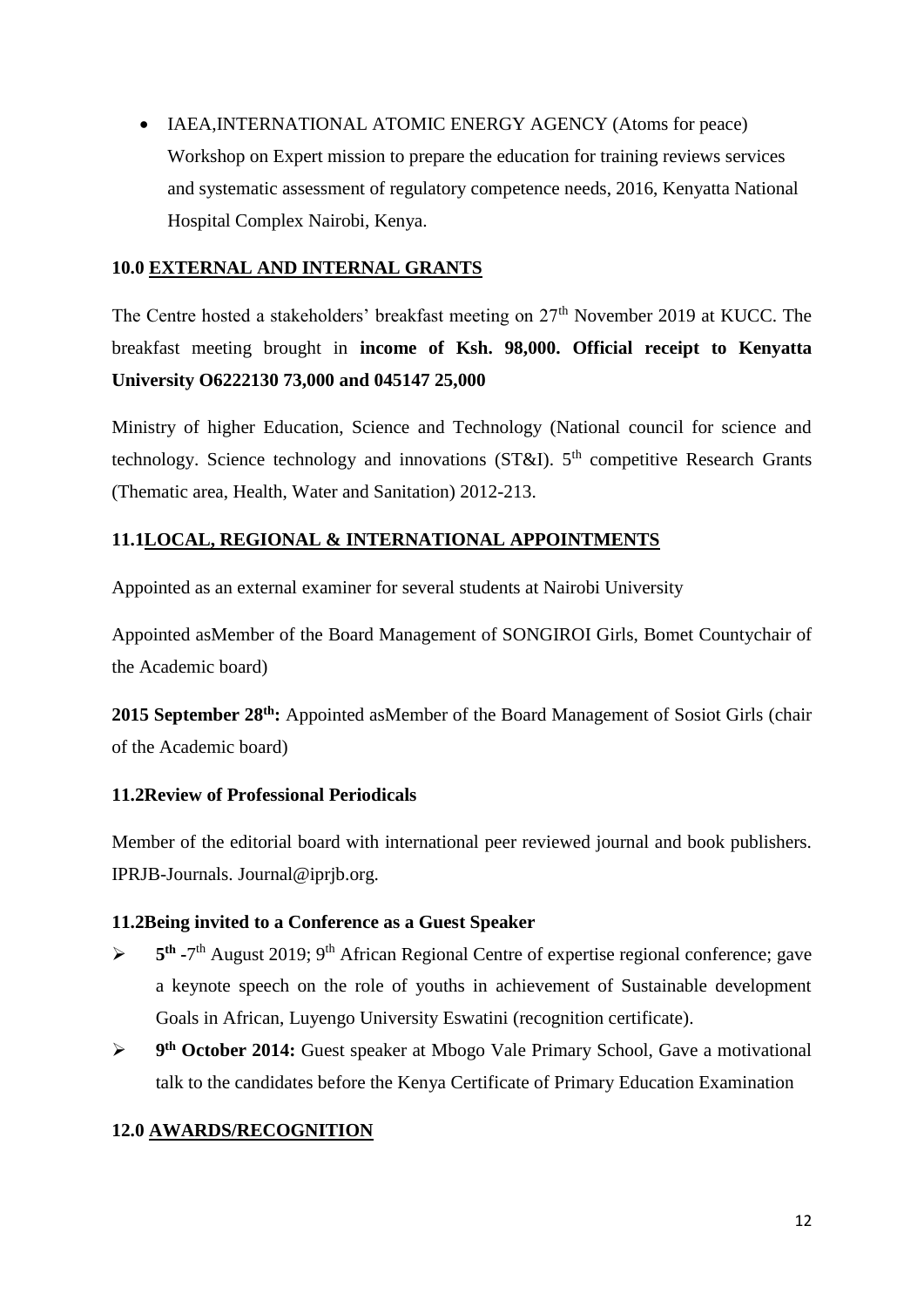IAEA,INTERNATIONAL ATOMIC ENERGY AGENCY (Atoms for peace) Workshop on Expert mission to prepare the education for training reviews services and systematic assessment of regulatory competence needs, 2016, Kenyatta National Hospital Complex Nairobi, Kenya.

#### **10.0 EXTERNAL AND INTERNAL GRANTS**

The Centre hosted a stakeholders' breakfast meeting on 27<sup>th</sup> November 2019 at KUCC. The breakfast meeting brought in **income of Ksh. 98,000. Official receipt to Kenyatta University O6222130 73,000 and 045147 25,000** 

Ministry of higher Education, Science and Technology (National council for science and technology. Science technology and innovations (ST&I).  $5<sup>th</sup>$  competitive Research Grants (Thematic area, Health, Water and Sanitation) 2012-213.

## **11.1LOCAL, REGIONAL & INTERNATIONAL APPOINTMENTS**

Appointed as an external examiner for several students at Nairobi University

Appointed asMember of the Board Management of SONGIROI Girls, Bomet Countychair of the Academic board)

**2015 September 28th:** Appointed asMember of the Board Management of Sosiot Girls (chair of the Academic board)

## **11.2Review of Professional Periodicals**

Member of the editorial board with international peer reviewed journal and book publishers. IPRJB-Journals. Journal@iprjb.org.

## **11.2Being invited to a Conference as a Guest Speaker**

- **5** th -7<sup>th</sup> August 2019; 9<sup>th</sup> African Regional Centre of expertise regional conference; gave a keynote speech on the role of youths in achievement of Sustainable development Goals in African, Luyengo University Eswatini (recognition certificate).
- **9 th October 2014:** Guest speaker at Mbogo Vale Primary School, Gave a motivational talk to the candidates before the Kenya Certificate of Primary Education Examination

## **12.0 AWARDS/RECOGNITION**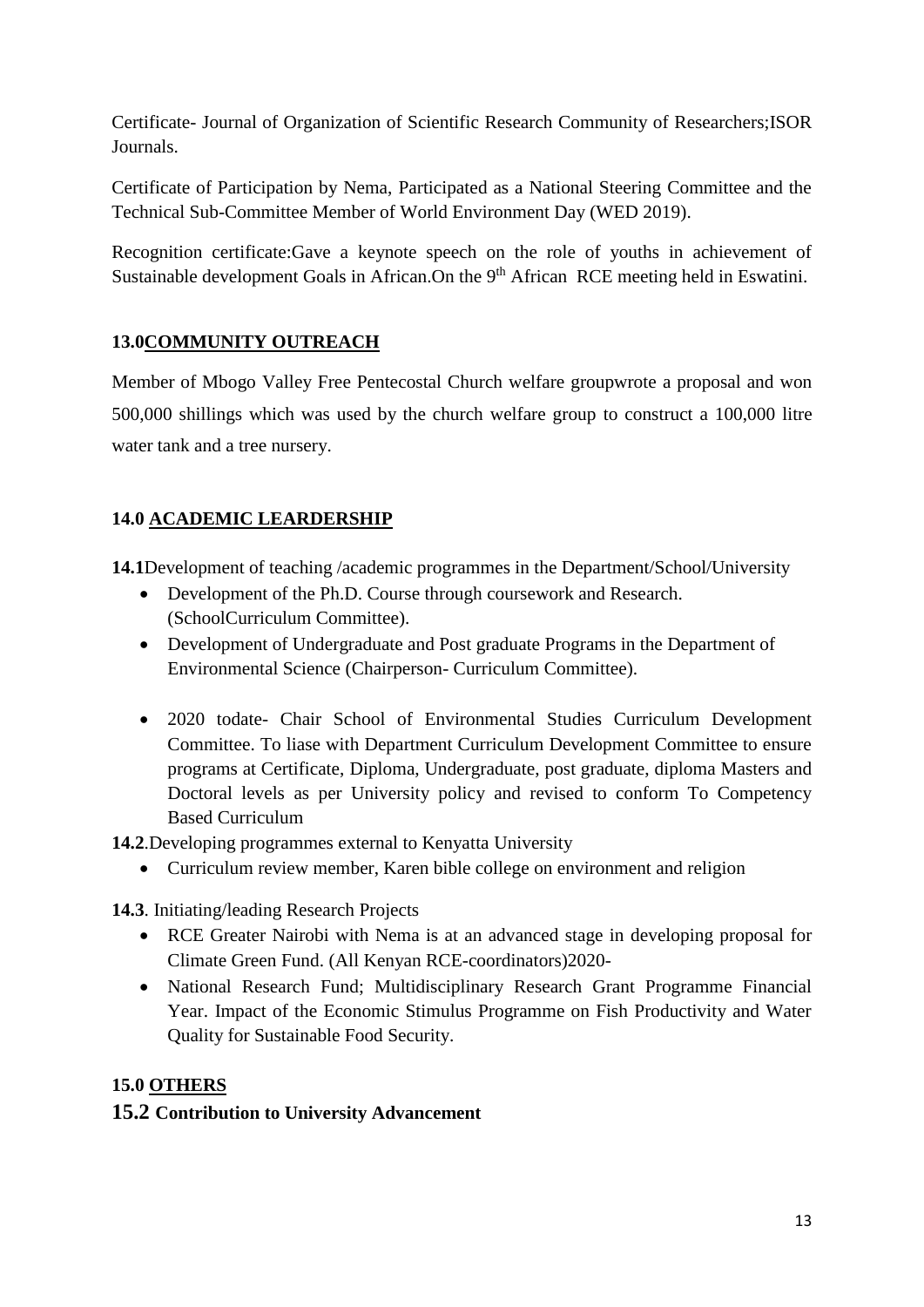Certificate- Journal of Organization of Scientific Research Community of Researchers;ISOR Journals.

Certificate of Participation by Nema, Participated as a National Steering Committee and the Technical Sub-Committee Member of World Environment Day (WED 2019).

Recognition certificate:Gave a keynote speech on the role of youths in achievement of Sustainable development Goals in African.On the 9<sup>th</sup> African RCE meeting held in Eswatini.

# **13.0COMMUNITY OUTREACH**

Member of Mbogo Valley Free Pentecostal Church welfare groupwrote a proposal and won 500,000 shillings which was used by the church welfare group to construct a 100,000 litre water tank and a tree nursery.

# **14.0 ACADEMIC LEARDERSHIP**

**14.1**Development of teaching /academic programmes in the Department/School/University

- Development of the Ph.D. Course through coursework and Research. (SchoolCurriculum Committee).
- Development of Undergraduate and Post graduate Programs in the Department of Environmental Science (Chairperson- Curriculum Committee).
- 2020 todate- Chair School of Environmental Studies Curriculum Development Committee. To liase with Department Curriculum Development Committee to ensure programs at Certificate, Diploma, Undergraduate, post graduate, diploma Masters and Doctoral levels as per University policy and revised to conform To Competency Based Curriculum

**14.2**.Developing programmes external to Kenyatta University

Curriculum review member, Karen bible college on environment and religion

**14.3**. Initiating/leading Research Projects

- RCE Greater Nairobi with Nema is at an advanced stage in developing proposal for Climate Green Fund. (All Kenyan RCE-coordinators)2020-
- National Research Fund; Multidisciplinary Research Grant Programme Financial Year. Impact of the Economic Stimulus Programme on Fish Productivity and Water Quality for Sustainable Food Security.

# **15.0 OTHERS**

# **15.2 Contribution to University Advancement**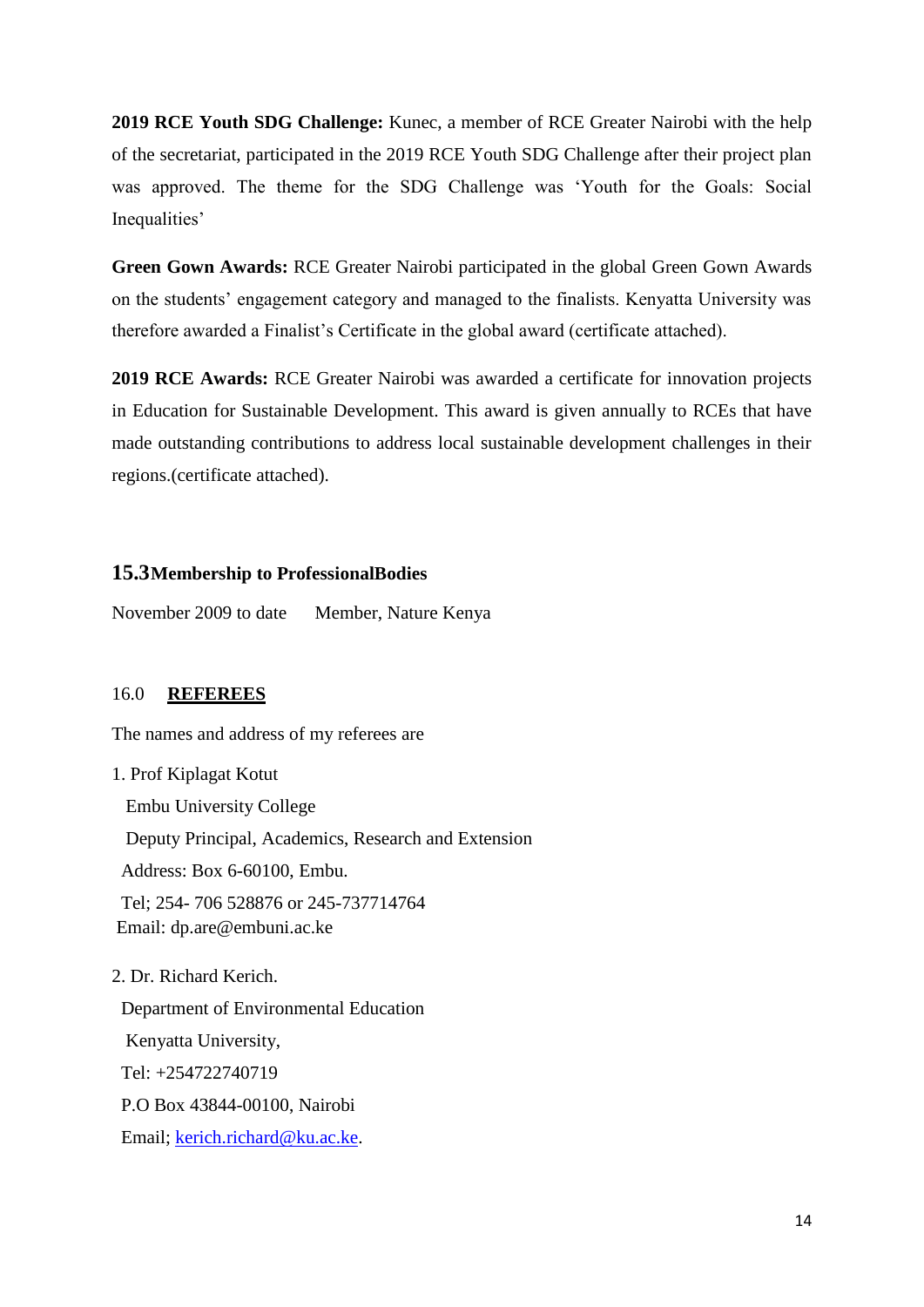**2019 RCE Youth SDG Challenge:** Kunec, a member of RCE Greater Nairobi with the help of the secretariat, participated in the 2019 RCE Youth SDG Challenge after their project plan was approved. The theme for the SDG Challenge was 'Youth for the Goals: Social Inequalities'

**Green Gown Awards:** RCE Greater Nairobi participated in the global Green Gown Awards on the students' engagement category and managed to the finalists. Kenyatta University was therefore awarded a Finalist's Certificate in the global award (certificate attached).

**2019 RCE Awards:** RCE Greater Nairobi was awarded a certificate for innovation projects in Education for Sustainable Development. This award is given annually to RCEs that have made outstanding contributions to address local sustainable development challenges in their regions.(certificate attached).

#### **15.3Membership to ProfessionalBodies**

November 2009 to date Member, Nature Kenya

#### 16.0 **REFEREES**

The names and address of my referees are

1. Prof Kiplagat Kotut Embu University College Deputy Principal, Academics, Research and Extension Address: Box 6-60100, Embu. Tel; 254- 706 528876 or 245-737714764 Email: dp.are@embuni.ac.ke 2. Dr. Richard Kerich. Department of Environmental Education Kenyatta University,

 Tel: +254722740719 P.O Box 43844-00100, Nairobi

Email; [kerich.richard@ku.ac.ke.](mailto:kerich.richard@ku.ac.ke)